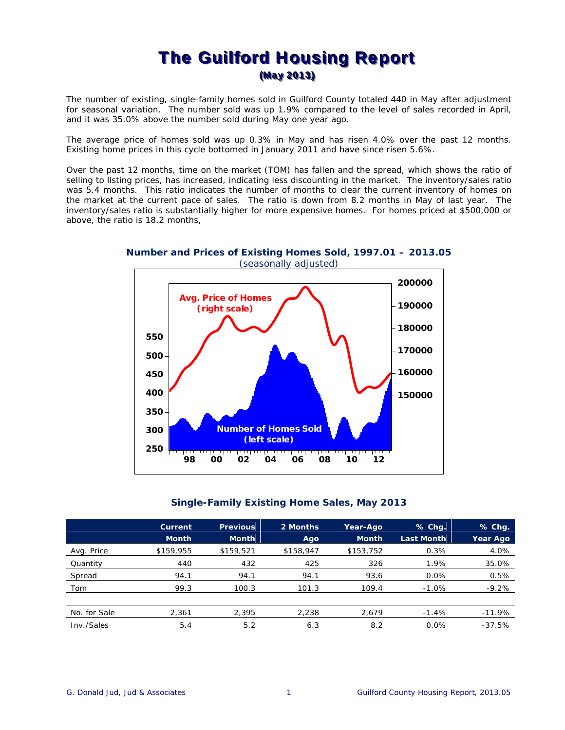## The Guilford Housing Report (May 2013)

The number of existing, single-family homes sold in Guilford County totaled 440 in May after adjustment for seasonal variation. The number sold was up 1.9% compared to the level of sales recorded in April, and it was 35.0% above the number sold during May one year ago.

The average price of homes sold was up 0.3% in May and has risen 4.0% over the past 12 months. Existing home prices in this cycle bottomed in January 2011 and have since risen 5.6%.

Over the past 12 months, time on the market (TOM) has fallen and the spread, which shows the ratio of selling to listing prices, has increased, indicating less discounting in the market. The inventory/sales ratio was 5.4 months. This ratio indicates the number of months to clear the current inventory of homes on the market at the current pace of sales. The ratio is down from 8.2 months in May of last year. The inventory/sales ratio is substantially higher for more expensive homes. For homes priced at \$500,000 or above, the ratio is 18.2 months,

**Number and Prices of Existing Homes Sold, 1997.01 – 2013.05**  (seasonally adjusted)



## **Single-Family Existing Home Sales, May 2013**

|              | Current      | <b>Previous</b> | 2 Months  | Year-Ago     | % Chq.            | $%$ Chg. |
|--------------|--------------|-----------------|-----------|--------------|-------------------|----------|
|              | <b>Month</b> | <b>Month</b>    | Ago       | <b>Month</b> | <b>Last Month</b> | Year Ago |
| Avg. Price   | \$159,955    | \$159,521       | \$158,947 | \$153,752    | 0.3%              | 4.0%     |
| Quantity     | 440          | 432             | 425       | 326          | 1.9%              | 35.0%    |
| Spread       | 94.1         | 94.1            | 94.1      | 93.6         | $0.0\%$           | 0.5%     |
| Tom          | 99.3         | 100.3           | 101.3     | 109.4        | $-1.0%$           | $-9.2%$  |
|              |              |                 |           |              |                   |          |
| No. for Sale | 2,361        | 2,395           | 2,238     | 2,679        | $-1.4%$           | $-11.9%$ |
| Inv./Sales   | 5.4          | 5.2             | 6.3       | 8.2          | 0.0%              | $-37.5%$ |